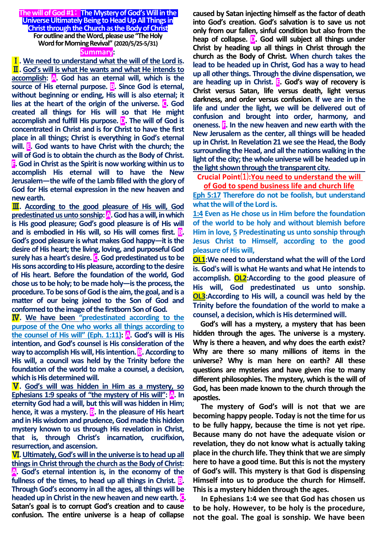**The will of God #1**: **The Mystery of God's Will in the Universe Ultimately Being to Head Up All Things in Christ through the Church as the Body of Christ For outline and the Word, please use "The Holy Word for Morning Revival" (2020/5/25-5/31) Summary:**

Ⅰ**. We need to understand what the will of the Lord is.** Ⅱ**. God's will is what He wants and what He intends to accomplish: A. God has an eternal will, which is the source of His eternal purpose. <b>B**. Since God is eternal, **without beginning or ending, His will is also eternal; it lies at the heart of the origin of the universe. C. God created all things for His will so that He might accomplish and fulfill His purpose. D. The will of God is concentrated in Christ and is for Christ to have the first place in all things; Christ is everything in God's eternal will. E. God wants to have Christ with the church; the will of God is to obtain the church as the Body of Christ. F. God in Christ as the Spirit is now working within us to accomplish His eternal will to have the New Jerusalem—the wife of the Lamb filled with the glory of God for His eternal expression in the new heaven and new earth.**

Ⅲ**. According to the good pleasure of His will, God predestinated us unto sonship: A. God has a will, in which is His good pleasure; God's good pleasure is of His will**  and is embodied in His will, so His will comes first. **B**. **God's good pleasure is what makes God happy—it is the desire of His heart; the living, loving, and purposeful God surely has a heart's desire. C. God predestinated us to be His sons according to His pleasure, according to the desire of His heart. Before the foundation of the world, God chose us to be holy; to be made holy—is the process, the procedure. To be sons of God is the aim, the goal, and is a matter of our being joined to the Son of God and conformed to the image of the firstborn Son of God.**

Ⅳ**. We have been "predestinated according to the purpose of the One who works all things according to the counsel of His will"** (Eph. 1:11):  $\mathbf{A}$ . God's will is His **intention, and God's counsel is His consideration of the way to accomplish His will, His intention. B. According to His will, a council was held by the Trinity before the foundation of the world to make a counsel, a decision, which is His determined will.**

Ⅴ**. God's will was hidden in Him as a mystery, so Ephesians 1:9 speaks of "the mystery of His will": A. In eternity God had a will, but this will was hidden in Him; hence, it was a mystery. B. In the pleasure of His heart and in His wisdom and prudence, God made this hidden mystery known to us through His revelation in Christ, that is, through Christ's incarnation, crucifixion, resurrection, and ascension.**

Ⅵ**.Ultimately, God's will in the universe is to head up all things in Christ through the church as the Body of Christ: A. God's eternal intention is, in the economy of the fullness of the times, to head up all things in Christ. B. Through God's economy in all the ages, all things will be headed up in Christ in the new heaven and new earth. C. Satan's goal is to corrupt God's creation and to cause confusion. The entire universe is a heap of collapse** 

**caused by Satan injecting himself as the factor of death into God's creation. God's salvation is to save us not only from our fallen, sinful condition but also from the heap of collapse. D. God will subject all things under Christ by heading up all things in Christ through the church as the Body of Christ. When church takes the lead to be headed up in Christ, God has a way to head up all other things. Through the divine dispensation, we are heading up in Christ. E. God's way of recovery is Christ versus Satan, life versus death, light versus darkness, and order versus confusion. If we are in the life and under the light, we will be delivered out of confusion and brought into order, harmony, and oneness. F. In the new heaven and new earth with the New Jerusalem as the center, all things will be headed up in Christ. In Revelation 21 we see the Head, the Body surrounding the Head, and all the nations walking in the light of the city; the whole universe will be headed up in the light shown through the transparent city.**

**Crucial Point**⑴**:You need to understand the will** 

**of God to spend business life and church life**

**Eph 5:17 Therefore do not be foolish, but understand what the will of the Lord is.**

**1:4 Even as He chose us in Him before the foundation of the world to be holy and without blemish before Him in love, 5 Predestinating us unto sonship through Jesus Christ to Himself, according to the good pleasure of His will,** 

**OL1:We need to understand what the will of the Lord is. God's will is what He wants and what He intends to accomplish. OL2:According to the good pleasure of His will, God predestinated us unto sonship. OL3:According to His will, a council was held by the Trinity before the foundation of the world to make a counsel, a decision, which is His determined will.**

**God's will has a mystery, a mystery that has been hidden through the ages. The universe is a mystery. Why is there a heaven, and why does the earth exist? Why are there so many millions of items in the universe? Why is man here on earth? All these questions are mysteries and have given rise to many different philosophies. The mystery, which is the will of God, has been made known to the church through the apostles.** 

**The mystery of God's will is not that we are becoming happy people. Today is not the time for us to be fully happy, because the time is not yet ripe. Because many do not have the adequate vision or revelation, they do not know what is actually taking place in the church life. They think that we are simply here to have a good time. But this is not the mystery of God's will. This mystery is that God is dispensing Himself into us to produce the church for Himself. This is a mystery hidden through the ages.**

**In Ephesians 1:4 we see that God has chosen us to be holy. However, to be holy is the procedure, not the goal. The goal is sonship. We have been**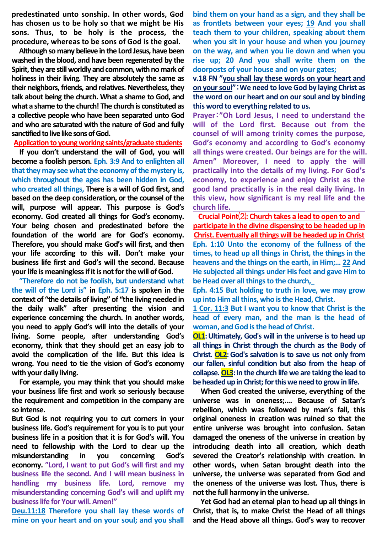**predestinated unto sonship. In other words, God has chosen us to be holy so that we might be His sons. Thus, to be holy is the process, the procedure, whereas to be sons of God is the goal.** 

**Although so many believe in the Lord Jesus, have been washed in the blood, and have been regenerated by the Spirit, they are still worldly and common, with no mark of holiness in their living. They are absolutely the same as their neighbors, friends, and relatives. Nevertheless, they talk about being the church. What a shame to God, and what a shame to the church! The church is constituted as a collective people who have been separated unto God and who are saturated with the nature of God and fully sanctified to live like sons of God.**

#### **Application to young working saints/graduate students**

**If you don't understand the will of God, you will become a foolish person. Eph. 3:9 And to enlighten all that they may see what the economy of the mystery is, which throughout the ages has been hidden in God, who created all things, There is a will of God first, and based on the deep consideration, or the counsel of the will, purpose will appear. This purpose is God's economy. God created all things for God's economy. Your being chosen and predestinated before the foundation of the world are for God's economy. Therefore, you should make God's will first, and then your life according to this will. Don't make your business life first and God's will the second. Because your life is meaningless if it is not for the will of God.** 

**"Therefore do not be foolish, but understand what the will of the Lord is" in Eph. 5:17 is spoken in the context of "the details of living" of "the living needed in the daily walk" after presenting the vision and experience concerning the church. In another words, you need to apply God's will into the details of your living. Some people, after understanding God's economy, think that they should get an easy job to avoid the complication of the life. But this idea is wrong. You need to tie the vision of God's economy with your daily living.** 

**For example, you may think that you should make your business life first and work so seriously because the requirement and competition in the company are so intense.**

**But God is not requiring you to cut corners in your business life. God's requirement for you is to put your business life in a position that it is for God's will. You need to fellowship with the Lord to clear up the misunderstanding in you concerning God's economy. "Lord, I want to put God's will first and my business life the second. And I will mean business in handling my business life. Lord, remove my misunderstanding concerning God's will and uplift my business life for Your will. Amen!"**

**Deu.11:18 Therefore you shall lay these words of mine on your heart and on your soul; and you shall** 

**bind them on your hand as a sign, and they shall be as frontlets between your eyes; 19 And you shall teach them to your children, speaking about them when you sit in your house and when you journey on the way, and when you lie down and when you rise up; 20 And you shall write them on the doorposts of your house and on your gates;** 

**v.18 FN "you shall lay these words on your heart and on your soul"**:**We need to love God by laying Christ as the word on our heart and on our soul and by binding this word to everything related to us.**

**Prayer**:**"Oh Lord Jesus, I need to understand the will of the Lord first. Because out from the counsel of will among trinity comes the purpose, God's economy and according to God's economy all things were created. Our beings are for the will. Amen" Moreover, I need to apply the will practically into the details of my living. For God's economy, to experience and enjoy Christ as the good land practically is in the real daily living. In this view, how significant is my real life and the church life.**

**Crucial Point**⑵**: Church takes a lead to open to and participate in the divine dispensing to be headed up in Christ. Eventually all things will be headed up in Christ Eph. 1:10 Unto the economy of the fullness of the times, to head up all things in Christ, the things in the heavens and the things on the earth, in Him;… 22 And He subjected all things under His feet and gave Him to be Head over all things to the church,**

**Eph. 4:15 But holding to truth in love, we may grow up into Him all thins, who is the Head, Christ.**

**1 Cor. 11:3 But I want you to know that Christ is the head of every man, and the man is the head of woman, and God is the head of Christ.**

**OL1:** Ultimately, God's will in the universe is to head up **all things in Christ through the church as the Body of Christ. OL2:God's salvation is to save us not only from our fallen, sinful condition but also from the heap of**  collapse. **OL3**: In the church life we are taking the lead to **be headed up in Christ; for this we need to grow in life.** 

**When God created the universe, everything of the universe was in oneness;…. Because of Satan's rebellion, which was followed by man's fall, this original oneness in creation was ruined so that the entire universe was brought into confusion. Satan damaged the oneness of the universe in creation by introducing death into all creation, which death severed the Creator's relationship with creation. In other words, when Satan brought death into the universe, the universe was separated from God and the oneness of the universe was lost. Thus, there is not the full harmony in the universe.**

**Yet God had an eternal plan to head up all things in Christ, that is, to make Christ the Head of all things and the Head above all things. God's way to recover**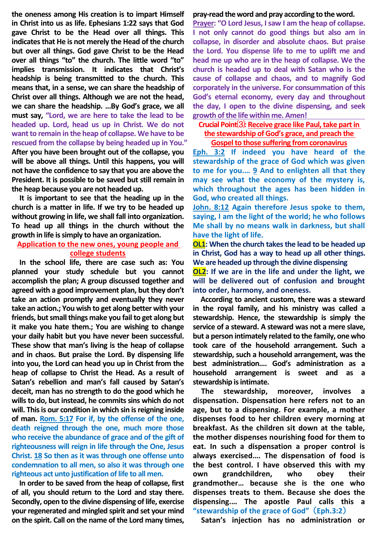**the oneness among His creation is to impart Himself in Christ into us as life. Ephesians 1:22 says that God gave Christ to be the Head over all things. This indicates that He is not merely the Head of the church but over all things. God gave Christ to be the Head over all things "to" the church. The little word "to" implies transmission. It indicates that Christ's headship is being transmitted to the church. This means that, in a sense, we can share the headship of Christ over all things. Although we are not the head, we can share the headship. ...By God's grace, we all must say, "Lord, we are here to take the lead to be headed up. Lord, head us up in Christ. We do not want to remain in the heap of collapse. We have to be rescued from the collapse by being headed up in You." After you have been brought out of the collapse, you will be above all things. Until this happens, you will not have the confidence to say that you are above the President. It is possible to be saved but still remain in the heap because you are not headed up.**

**It is important to see that the heading up in the church is a matter in life. If we try to be headed up without growing in life, we shall fall into organization. To head up all things in the church without the growth in life is simply to have an organization.**

## **Application to the new ones, young people and college students**

**In the school life, there are case such as: You planned your study schedule but you cannot accomplish the plan; A group discussed together and agreed with a good improvement plan, but they don't take an action promptly and eventually they never take an action.; You wish to get along better with your friends, but small things make you fail to get along but it make you hate them.; You are wishing to change your daily habit but you have never been successful. These show that man's living is the heap of collapse and in chaos. But praise the Lord. By dispensing life into you, the Lord can head you up in Christ from the heap of collapse to Christ the Head. As a result of Satan's rebellion and man's fall caused by Satan's deceit, man has no strength to do the good which he wills to do, but instead, he commits sins which do not will. This is our condition in which sin is reigning inside of man. Rom. 5:17 For if, by the offense of the one, death reigned through the one, much more those who receive the abundance of grace and of the gift of righteousness will reign in life through the One, Jesus Christ. 18 So then as it was through one offense unto condemnation to all men, so also it was through one righteous act unto justification of life to all men.**

**In order to be saved from the heap of collapse, first of all, you should return to the Lord and stay there. Secondly, open to the divine dispensing of life, exercise your regenerated and mingled spirit and set your mind on the spirit. Call on the name of the Lord many times,** 

### **pray-read the word and pray according to the word.**

**Prayer: "O Lord Jesus, I saw I am the heap of collapse. I not only cannot do good things but also am in collapse, in disorder and absolute chaos. But praise the Lord. You dispense life to me to uplift me and head me up who are in the heap of collapse. We the church is headed up to deal with Satan who is the cause of collapse and chaos, and to magnify God corporately in the universe. For consummation of this God's eternal economy, every day and throughout the day, I open to the divine dispensing, and seek growth ofthe life within me. Amen!**

**Crucial Point**⑶**: Receive grace like Paul, take part in the stewardship of God's grace, and preach the Gospel to those suffering from coronavirus**

**Eph. 3:2 If indeed you have heard of the stewardship of the grace of God which was given to me for you.… 9 And to enlighten all that they may see what the economy of the mystery is, which throughout the ages has been hidden in God, who created all things.**

**John. 8:12 Again therefore Jesus spoke to them, saying, I am the light of the world; he who follows Me shall by no means walk in darkness, but shall have the light of life.**

**OL1: When the church takes the lead to be headed up in Christ, God has a way to head up all other things. We are headed up through the divine dispensing**

**OL2: If we are in the life and under the light, we will be delivered out of confusion and brought into order, harmony, and oneness.**

**According to ancient custom, there was a steward in the royal family, and his ministry was called a stewardship. Hence, the stewardship is simply the service of a steward. A steward was not a mere slave, but a person intimately related to the family, one who took care of the household arrangement. Such a stewardship, such a household arrangement, was the best administration…. God's administration as a household arrangement is sweet and as a stewardship is intimate.**

**The stewardship, moreover, involves a dispensation. Dispensation here refers not to an age, but to a dispensing. For example, a mother dispenses food to her children every morning at breakfast. As the children sit down at the table, the mother dispenses nourishing food for them to eat. In such a dispensation a proper control is always exercised…. The dispensation of food is the best control. I have observed this with my own grandchildren, who obey their grandmother… because she is the one who dispenses treats to them. Because she does the dispensing.… The apostle Paul calls this a "stewardship of the grace of God"** (**Eph.3:2**)

**Satan's injection has no administration or**